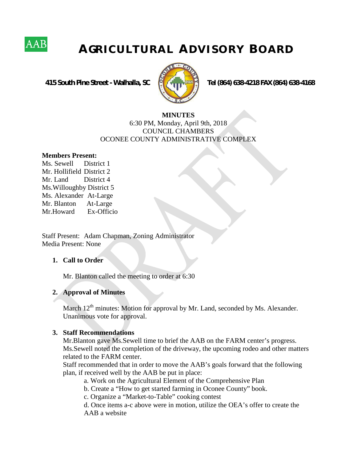

# **A GR I C U L T U R A L A D V I S O R Y B O A R D**

 **415 South Pine Street - Walhalla, SC Tel (864) 638-4218 FAX (864) 638-4168**



#### **MINUTES** 6:30 PM, Monday, April 9th, 2018 COUNCIL CHAMBERS OCONEE COUNTY ADMINISTRATIVE COMPLEX

#### **Members Present:**

Ms. Sewell District 1 Mr. Hollifield District 2 Mr. Land District 4 Ms.Willoughby District 5 Ms. Alexander At-Large Mr. Blanton At-Large Mr.Howard Ex-Officio

Staff Present: Adam Chapman, Zoning Administrator Media Present: None

#### **1. Call to Order**

Mr. Blanton called the meeting to order at 6:30

#### **2. Approval of Minutes**

March  $12<sup>th</sup>$  minutes: Motion for approval by Mr. Land, seconded by Ms. Alexander. Unanimous vote for approval.

#### **3. Staff Recommendations**

Mr.Blanton gave Ms.Sewell time to brief the AAB on the FARM center's progress. Ms.Sewell noted the completion of the driveway, the upcoming rodeo and other matters related to the FARM center.

Staff recommended that in order to move the AAB's goals forward that the following plan, if received well by the AAB be put in place:

a. Work on the Agricultural Element of the Comprehensive Plan

b. Create a "How to get started farming in Oconee County" book.

c. Organize a "Market-to-Table" cooking contest

d. Once items a-c above were in motion, utilize the OEA's offer to create the AAB a website